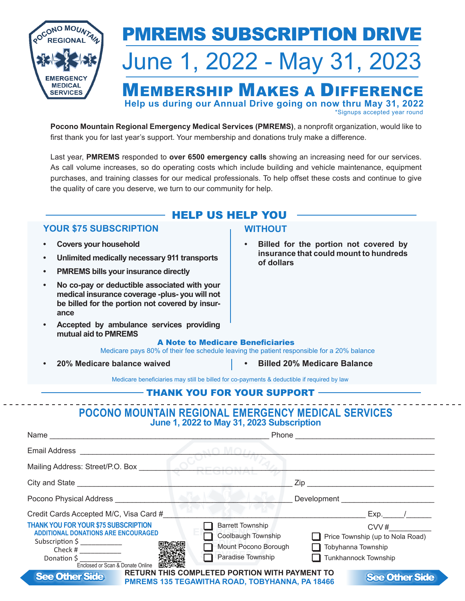

# PMREMS Subscription drive

# June 1, 2022 - May 31, 2023

# MEMBERSHIP MAKES A DIFFERENCE **Help us during our Annual Drive going on now thru May 31, 2022**

\*Signups accepted year round

**Pocono Mountain Regional Emergency Medical Services (PMREMS)**, a nonprofit organization, would like to first thank you for last year's support. Your membership and donations truly make a difference.

Last year, **PMREMS** responded to **over 6500 emergency calls** showing an increasing need for our services. As call volume increases, so do operating costs which include building and vehicle maintenance, equipment purchases, and training classes for our medical professionals. To help offset these costs and continue to give the quality of care you deserve, we turn to our community for help.

# HELP US HELP YOU

## **YOUR \$75 Subscription**

- **Covers your household**
- **Unlimited medically necessary 911 transports**
- **PMREMS bills your insurance directly**
- **• No co-pay or deductible associated with your medical insurance coverage -plus- you will not be billed for the portion not covered by insurance**
- Accepted by ambulance services providing **mutual aid to PMREMS**

### **WITHOUT**

**• Billed for the portion not covered by insurance that could mount to hundreds of dollars**

#### A Note to Medicare Beneficiaries

Medicare pays 80% of their fee schedule leaving the patient responsible for a 20% balance

**• 20% Medicare balance waived**

**Billed 20% Medicare Balance** 

Medicare beneficiaries may still be billed for co-payments & deductible if required by law

### THANK YOU FOR YOUR SUPPORT

## **Pocono Mountain Regional Emergency Medical Services June 1, 2022 to May 31, 2023 Subscription**

| Name                                                                                                                                                                                                                 | Phone                                                                                                                                                                                |
|----------------------------------------------------------------------------------------------------------------------------------------------------------------------------------------------------------------------|--------------------------------------------------------------------------------------------------------------------------------------------------------------------------------------|
| <b>Email Address</b>                                                                                                                                                                                                 |                                                                                                                                                                                      |
| Mailing Address: Street/P.O. Box                                                                                                                                                                                     |                                                                                                                                                                                      |
| City and State __________                                                                                                                                                                                            | Zip                                                                                                                                                                                  |
| Pocono Physical Address                                                                                                                                                                                              | Development                                                                                                                                                                          |
| Credit Cards Accepted M/C, Visa Card #                                                                                                                                                                               | Exp.                                                                                                                                                                                 |
| <b>THANK YOU FOR YOUR \$75 SUBSCRIPTION</b><br><b>ADDITIONAL DONATIONS ARE ENCOURAGED</b><br>Subscription $\sin\left(\frac{1}{2}\right)$<br>Check # $\frac{1}{2}$<br>Donation \$<br>Enclosed or Scan & Donate Online | <b>Barrett Township</b><br>CVV#<br>Coolbaugh Township<br>Price Township (up to Nola Road)<br>Mount Pocono Borough<br>Tobyhanna Township<br>Paradise Township<br>Tunkhannock Township |
| <b>See Other Side</b>                                                                                                                                                                                                | <b>RETURN THIS COMPLETED PORTION WITH PAYMENT TO</b><br><b>See Other Side</b><br>PMREMS 135 TEGAWITHA ROAD, TOBYHANNA, PA 18466                                                      |